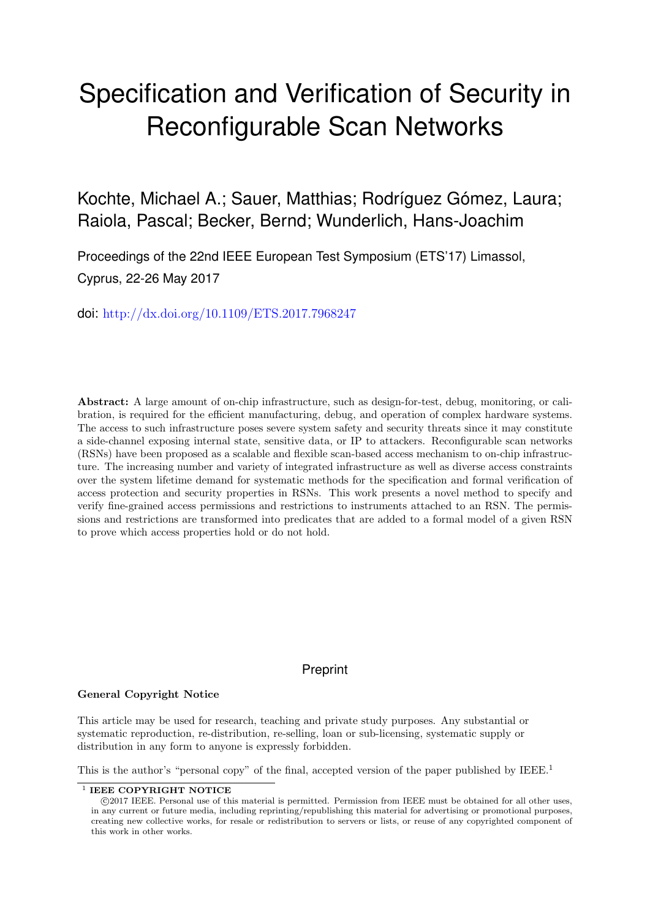# Specification and Verification of Security in Reconfigurable Scan Networks

Kochte, Michael A.; Sauer, Matthias; Rodríguez Gómez, Laura; Raiola, Pascal; Becker, Bernd; Wunderlich, Hans-Joachim

Proceedings of the 22nd IEEE European Test Symposium (ETS'17) Limassol, Cyprus, 22-26 May 2017

doi: <http://dx.doi.org/10.1109/ETS.2017.7968247>

Abstract: A large amount of on-chip infrastructure, such as design-for-test, debug, monitoring, or calibration, is required for the efficient manufacturing, debug, and operation of complex hardware systems. The access to such infrastructure poses severe system safety and security threats since it may constitute a side-channel exposing internal state, sensitive data, or IP to attackers. Reconfigurable scan networks (RSNs) have been proposed as a scalable and flexible scan-based access mechanism to on-chip infrastructure. The increasing number and variety of integrated infrastructure as well as diverse access constraints over the system lifetime demand for systematic methods for the specification and formal verification of access protection and security properties in RSNs. This work presents a novel method to specify and verify fine-grained access permissions and restrictions to instruments attached to an RSN. The permissions and restrictions are transformed into predicates that are added to a formal model of a given RSN to prove which access properties hold or do not hold.

# Preprint

## General Copyright Notice

This article may be used for research, teaching and private study purposes. Any substantial or systematic reproduction, re-distribution, re-selling, loan or sub-licensing, systematic supply or distribution in any form to anyone is expressly forbidden.

This is the author's "personal copy" of the final, accepted version of the paper published by IEEE.<sup>[1](#page-0-0)</sup>

<span id="page-0-0"></span><sup>&</sup>lt;sup>1</sup> IEEE COPYRIGHT NOTICE

c 2017 IEEE. Personal use of this material is permitted. Permission from IEEE must be obtained for all other uses, in any current or future media, including reprinting/republishing this material for advertising or promotional purposes, creating new collective works, for resale or redistribution to servers or lists, or reuse of any copyrighted component of this work in other works.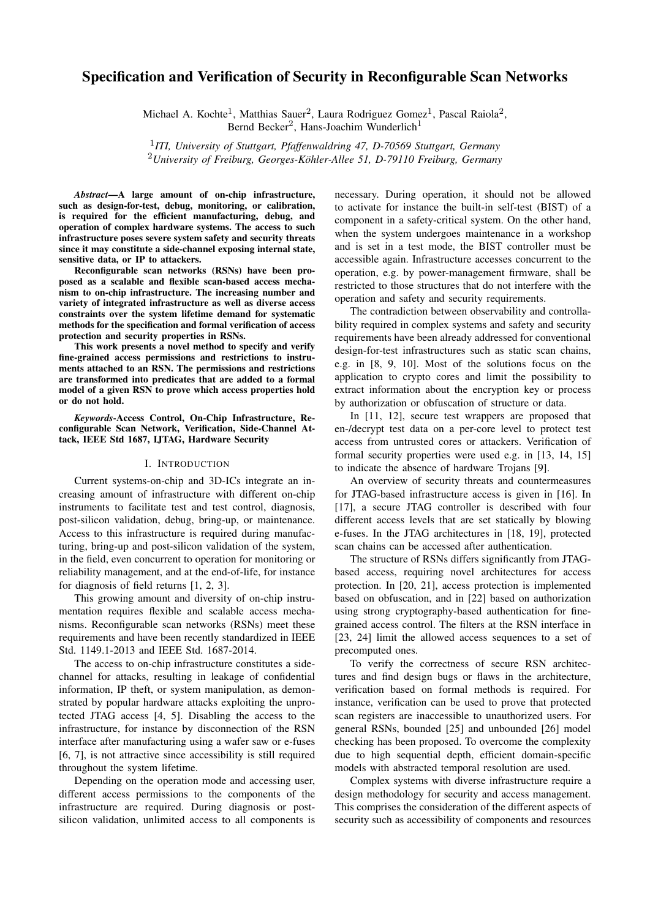# Specification and Verification of Security in Reconfigurable Scan Networks

Michael A. Kochte<sup>1</sup>, Matthias Sauer<sup>2</sup>, Laura Rodriguez Gomez<sup>1</sup>, Pascal Raiola<sup>2</sup>, Bernd Becker<sup>2</sup>, Hans-Joachim Wunderlich<sup>1</sup>

1 *ITI, University of Stuttgart, Pfaffenwaldring 47, D-70569 Stuttgart, Germany* <sup>2</sup>University of Freiburg, Georges-Köhler-Allee 51, D-79110 Freiburg, Germany

*Abstract*—A large amount of on-chip infrastructure, such as design-for-test, debug, monitoring, or calibration, is required for the efficient manufacturing, debug, and operation of complex hardware systems. The access to such infrastructure poses severe system safety and security threats since it may constitute a side-channel exposing internal state, sensitive data, or IP to attackers.

Reconfigurable scan networks (RSNs) have been proposed as a scalable and flexible scan-based access mechanism to on-chip infrastructure. The increasing number and variety of integrated infrastructure as well as diverse access constraints over the system lifetime demand for systematic methods for the specification and formal verification of access protection and security properties in RSNs.

This work presents a novel method to specify and verify fine-grained access permissions and restrictions to instruments attached to an RSN. The permissions and restrictions are transformed into predicates that are added to a formal model of a given RSN to prove which access properties hold or do not hold.

*Keywords*-Access Control, On-Chip Infrastructure, Reconfigurable Scan Network, Verification, Side-Channel Attack, IEEE Std 1687, IJTAG, Hardware Security

#### I. INTRODUCTION

Current systems-on-chip and 3D-ICs integrate an increasing amount of infrastructure with different on-chip instruments to facilitate test and test control, diagnosis, post-silicon validation, debug, bring-up, or maintenance. Access to this infrastructure is required during manufacturing, bring-up and post-silicon validation of the system, in the field, even concurrent to operation for monitoring or reliability management, and at the end-of-life, for instance for diagnosis of field returns [1, 2, 3].

This growing amount and diversity of on-chip instrumentation requires flexible and scalable access mechanisms. Reconfigurable scan networks (RSNs) meet these requirements and have been recently standardized in IEEE Std. 1149.1-2013 and IEEE Std. 1687-2014.

The access to on-chip infrastructure constitutes a sidechannel for attacks, resulting in leakage of confidential information, IP theft, or system manipulation, as demonstrated by popular hardware attacks exploiting the unprotected JTAG access [4, 5]. Disabling the access to the infrastructure, for instance by disconnection of the RSN interface after manufacturing using a wafer saw or e-fuses [6, 7], is not attractive since accessibility is still required throughout the system lifetime.

Depending on the operation mode and accessing user, different access permissions to the components of the infrastructure are required. During diagnosis or postsilicon validation, unlimited access to all components is necessary. During operation, it should not be allowed to activate for instance the built-in self-test (BIST) of a component in a safety-critical system. On the other hand, when the system undergoes maintenance in a workshop and is set in a test mode, the BIST controller must be accessible again. Infrastructure accesses concurrent to the operation, e.g. by power-management firmware, shall be restricted to those structures that do not interfere with the operation and safety and security requirements.

The contradiction between observability and controllability required in complex systems and safety and security requirements have been already addressed for conventional design-for-test infrastructures such as static scan chains, e.g. in [8, 9, 10]. Most of the solutions focus on the application to crypto cores and limit the possibility to extract information about the encryption key or process by authorization or obfuscation of structure or data.

In [11, 12], secure test wrappers are proposed that en-/decrypt test data on a per-core level to protect test access from untrusted cores or attackers. Verification of formal security properties were used e.g. in [13, 14, 15] to indicate the absence of hardware Trojans [9].

An overview of security threats and countermeasures for JTAG-based infrastructure access is given in [16]. In [17], a secure JTAG controller is described with four different access levels that are set statically by blowing e-fuses. In the JTAG architectures in [18, 19], protected scan chains can be accessed after authentication.

The structure of RSNs differs significantly from JTAGbased access, requiring novel architectures for access protection. In [20, 21], access protection is implemented based on obfuscation, and in [22] based on authorization using strong cryptography-based authentication for finegrained access control. The filters at the RSN interface in [23, 24] limit the allowed access sequences to a set of precomputed ones.

To verify the correctness of secure RSN architectures and find design bugs or flaws in the architecture, verification based on formal methods is required. For instance, verification can be used to prove that protected scan registers are inaccessible to unauthorized users. For general RSNs, bounded [25] and unbounded [26] model checking has been proposed. To overcome the complexity due to high sequential depth, efficient domain-specific models with abstracted temporal resolution are used.

Complex systems with diverse infrastructure require a design methodology for security and access management. This comprises the consideration of the different aspects of security such as accessibility of components and resources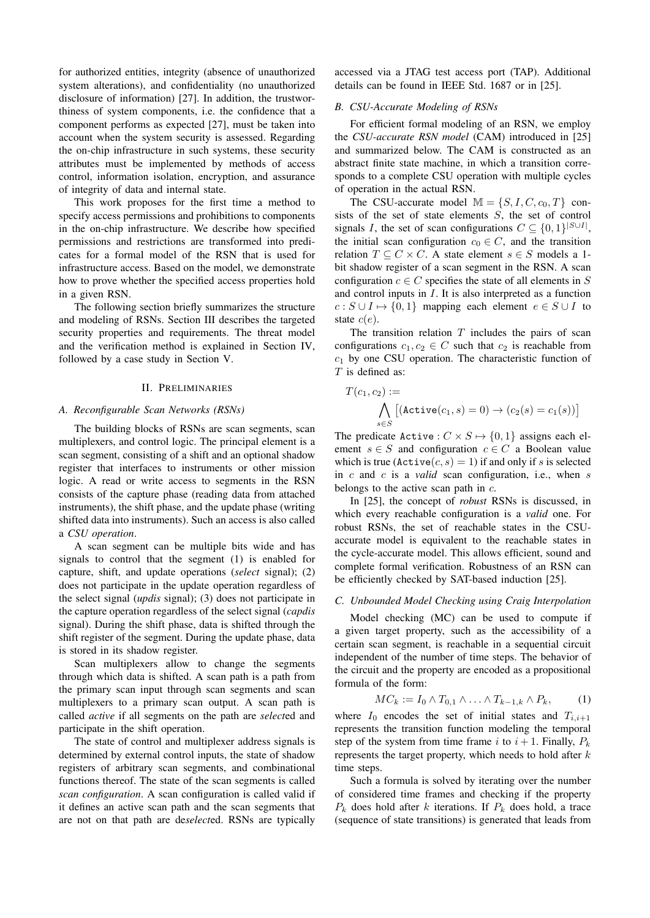for authorized entities, integrity (absence of unauthorized system alterations), and confidentiality (no unauthorized disclosure of information) [27]. In addition, the trustworthiness of system components, i.e. the confidence that a component performs as expected [27], must be taken into account when the system security is assessed. Regarding the on-chip infrastructure in such systems, these security attributes must be implemented by methods of access control, information isolation, encryption, and assurance of integrity of data and internal state.

This work proposes for the first time a method to specify access permissions and prohibitions to components in the on-chip infrastructure. We describe how specified permissions and restrictions are transformed into predicates for a formal model of the RSN that is used for infrastructure access. Based on the model, we demonstrate how to prove whether the specified access properties hold in a given RSN.

The following section briefly summarizes the structure and modeling of RSNs. Section III describes the targeted security properties and requirements. The threat model and the verification method is explained in Section IV, followed by a case study in Section V.

## II. PRELIMINARIES

#### *A. Reconfigurable Scan Networks (RSNs)*

The building blocks of RSNs are scan segments, scan multiplexers, and control logic. The principal element is a scan segment, consisting of a shift and an optional shadow register that interfaces to instruments or other mission logic. A read or write access to segments in the RSN consists of the capture phase (reading data from attached instruments), the shift phase, and the update phase (writing shifted data into instruments). Such an access is also called a *CSU operation*.

A scan segment can be multiple bits wide and has signals to control that the segment (1) is enabled for capture, shift, and update operations (*select* signal); (2) does not participate in the update operation regardless of the select signal (*updis* signal); (3) does not participate in the capture operation regardless of the select signal (*capdis* signal). During the shift phase, data is shifted through the shift register of the segment. During the update phase, data is stored in its shadow register.

Scan multiplexers allow to change the segments through which data is shifted. A scan path is a path from the primary scan input through scan segments and scan multiplexers to a primary scan output. A scan path is called *active* if all segments on the path are *select*ed and participate in the shift operation.

The state of control and multiplexer address signals is determined by external control inputs, the state of shadow registers of arbitrary scan segments, and combinational functions thereof. The state of the scan segments is called *scan configuration*. A scan configuration is called valid if it defines an active scan path and the scan segments that are not on that path are de*select*ed. RSNs are typically

accessed via a JTAG test access port (TAP). Additional details can be found in IEEE Std. 1687 or in [25].

#### *B. CSU-Accurate Modeling of RSNs*

For efficient formal modeling of an RSN, we employ the *CSU-accurate RSN model* (CAM) introduced in [25] and summarized below. The CAM is constructed as an abstract finite state machine, in which a transition corresponds to a complete CSU operation with multiple cycles of operation in the actual RSN.

The CSU-accurate model  $M = \{S, I, C, c_0, T\}$  consists of the set of state elements S, the set of control signals I, the set of scan configurations  $C \subseteq \{0, 1\}^{|S \cup I|}$ , the initial scan configuration  $c_0 \in C$ , and the transition relation  $T \subseteq C \times C$ . A state element  $s \in S$  models a 1bit shadow register of a scan segment in the RSN. A scan configuration  $c \in C$  specifies the state of all elements in S and control inputs in  $I$ . It is also interpreted as a function  $c : S \cup I \mapsto \{0, 1\}$  mapping each element  $e \in S \cup I$  to state  $c(e)$ .

The transition relation  $T$  includes the pairs of scan configurations  $c_1, c_2 \in C$  such that  $c_2$  is reachable from  $c_1$  by one CSU operation. The characteristic function of  $T$  is defined as:

$$
T(c_1, c_2) := \bigwedge_{s \in S} \left[ (\text{Active}(c_1, s) = 0) \rightarrow (c_2(s) = c_1(s)) \right]
$$

The predicate  $\text{Active}: C \times S \mapsto \{0, 1\}$  assigns each element  $s \in S$  and configuration  $c \in C$  a Boolean value which is true  $(Active(c, s) = 1)$  if and only if s is selected in c and c is a *valid* scan configuration, i.e., when s belongs to the active scan path in  $c$ .

In [25], the concept of *robust* RSNs is discussed, in which every reachable configuration is a *valid* one. For robust RSNs, the set of reachable states in the CSUaccurate model is equivalent to the reachable states in the cycle-accurate model. This allows efficient, sound and complete formal verification. Robustness of an RSN can be efficiently checked by SAT-based induction [25].

## *C. Unbounded Model Checking using Craig Interpolation*

Model checking (MC) can be used to compute if a given target property, such as the accessibility of a certain scan segment, is reachable in a sequential circuit independent of the number of time steps. The behavior of the circuit and the property are encoded as a propositional formula of the form:

$$
MC_k := I_0 \wedge T_{0,1} \wedge \ldots \wedge T_{k-1,k} \wedge P_k, \qquad (1)
$$

where  $I_0$  encodes the set of initial states and  $T_{i,i+1}$ represents the transition function modeling the temporal step of the system from time frame i to  $i + 1$ . Finally,  $P_k$ represents the target property, which needs to hold after  $k$ time steps.

Such a formula is solved by iterating over the number of considered time frames and checking if the property  $P_k$  does hold after k iterations. If  $P_k$  does hold, a trace (sequence of state transitions) is generated that leads from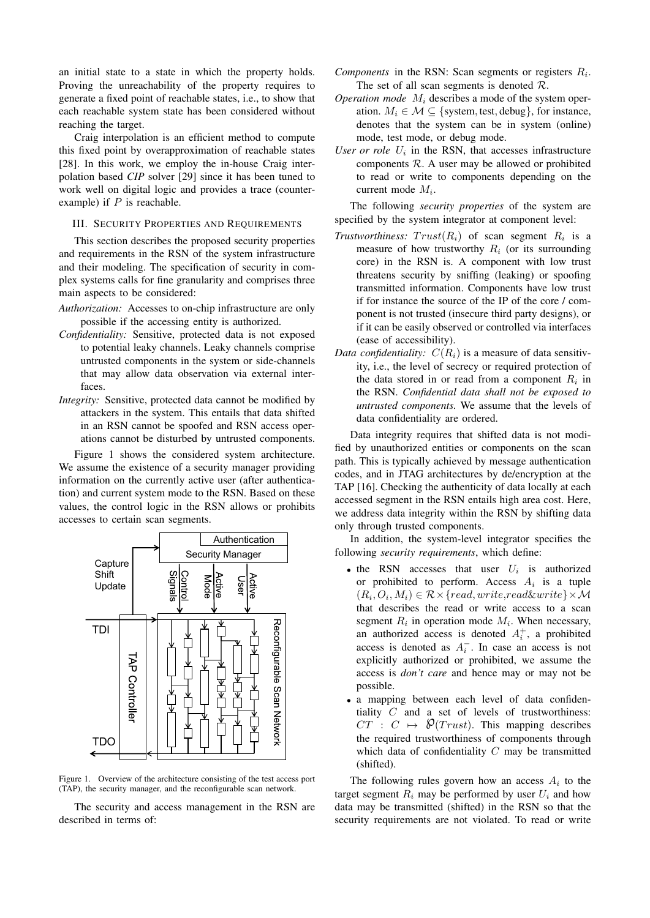an initial state to a state in which the property holds. Proving the unreachability of the property requires to generate a fixed point of reachable states, i.e., to show that each reachable system state has been considered without reaching the target.

Craig interpolation is an efficient method to compute this fixed point by overapproximation of reachable states [28]. In this work, we employ the in-house Craig interpolation based *CIP* solver [29] since it has been tuned to work well on digital logic and provides a trace (counterexample) if  $P$  is reachable.

## III. SECURITY PROPERTIES AND REQUIREMENTS

This section describes the proposed security properties and requirements in the RSN of the system infrastructure and their modeling. The specification of security in complex systems calls for fine granularity and comprises three main aspects to be considered:

- *Authorization:* Accesses to on-chip infrastructure are only possible if the accessing entity is authorized.
- *Confidentiality:* Sensitive, protected data is not exposed to potential leaky channels. Leaky channels comprise untrusted components in the system or side-channels that may allow data observation via external interfaces.
- *Integrity:* Sensitive, protected data cannot be modified by attackers in the system. This entails that data shifted in an RSN cannot be spoofed and RSN access operations cannot be disturbed by untrusted components.

Figure 1 shows the considered system architecture. We assume the existence of a security manager providing information on the currently active user (after authentication) and current system mode to the RSN. Based on these values, the control logic in the RSN allows or prohibits accesses to certain scan segments.



Figure 1. Overview of the architecture consisting of the test access port (TAP), the security manager, and the reconfigurable scan network.

The security and access management in the RSN are described in terms of:

- *Components* in the RSN: Scan segments or registers  $R_i$ . The set of all scan segments is denoted  $\mathcal{R}$ .
- *Operation mode*  $M_i$  describes a mode of the system operation.  $M_i \in \mathcal{M} \subseteq \{$  system, test, debug}, for instance, denotes that the system can be in system (online) mode, test mode, or debug mode.
- *User or role*  $U_i$  in the RSN, that accesses infrastructure components  $R$ . A user may be allowed or prohibited to read or write to components depending on the current mode  $M_i$ .

The following *security properties* of the system are specified by the system integrator at component level:

- *Trustworthiness:*  $Trust(R_i)$  of scan segment  $R_i$  is a measure of how trustworthy  $R_i$  (or its surrounding core) in the RSN is. A component with low trust threatens security by sniffing (leaking) or spoofing transmitted information. Components have low trust if for instance the source of the IP of the core / component is not trusted (insecure third party designs), or if it can be easily observed or controlled via interfaces (ease of accessibility).
- *Data confidentiality:*  $C(R_i)$  is a measure of data sensitivity, i.e., the level of secrecy or required protection of the data stored in or read from a component  $R_i$  in the RSN. *Confidential data shall not be exposed to untrusted components.* We assume that the levels of data confidentiality are ordered.

Data integrity requires that shifted data is not modified by unauthorized entities or components on the scan path. This is typically achieved by message authentication codes, and in JTAG architectures by de/encryption at the TAP [16]. Checking the authenticity of data locally at each accessed segment in the RSN entails high area cost. Here, we address data integrity within the RSN by shifting data only through trusted components.

In addition, the system-level integrator specifies the following *security requirements*, which define:

- the RSN accesses that user  $U_i$  is authorized or prohibited to perform. Access  $A_i$  is a tuple  $(R_i, O_i, M_i) \in \mathcal{R} \times \{read, write, read&write\} \times \mathcal{M}$ that describes the read or write access to a scan segment  $R_i$  in operation mode  $M_i$ . When necessary, an authorized access is denoted  $A_i^+$ , a prohibited access is denoted as  $A_i^-$ . In case an access is not explicitly authorized or prohibited, we assume the access is *don't care* and hence may or may not be possible.
- a mapping between each level of data confidentiality  $C$  and a set of levels of trustworthiness:  $CT : C \mapsto \mathcal{D}(Trust)$ . This mapping describes the required trustworthiness of components through which data of confidentiality  $C$  may be transmitted (shifted).

The following rules govern how an access  $A_i$  to the target segment  $R_i$  may be performed by user  $U_i$  and how data may be transmitted (shifted) in the RSN so that the security requirements are not violated. To read or write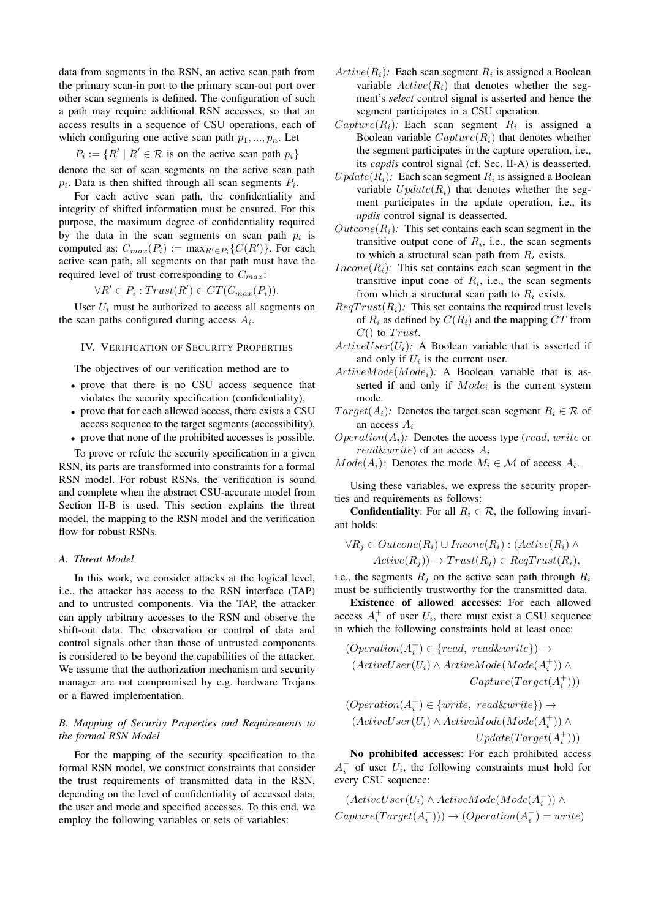data from segments in the RSN, an active scan path from the primary scan-in port to the primary scan-out port over other scan segments is defined. The configuration of such a path may require additional RSN accesses, so that an access results in a sequence of CSU operations, each of which configuring one active scan path  $p_1, ..., p_n$ . Let

$$
P_i := \{ R' \mid R' \in \mathcal{R} \text{ is on the active scan path } p_i \}
$$

denote the set of scan segments on the active scan path  $p_i$ . Data is then shifted through all scan segments  $P_i$ .

For each active scan path, the confidentiality and integrity of shifted information must be ensured. For this purpose, the maximum degree of confidentiality required by the data in the scan segments on scan path  $p_i$  is computed as:  $C_{max}(P_i) := \max_{R' \in P_i} \{ C(R') \}$ . For each active scan path, all segments on that path must have the required level of trust corresponding to  $C_{max}$ :

$$
\forall R' \in P_i : Trust(R') \in CT(C_{max}(P_i)).
$$

User  $U_i$  must be authorized to access all segments on the scan paths configured during access  $A_i$ .

#### IV. VERIFICATION OF SECURITY PROPERTIES

The objectives of our verification method are to

- prove that there is no CSU access sequence that violates the security specification (confidentiality),
- prove that for each allowed access, there exists a CSU access sequence to the target segments (accessibility),
- prove that none of the prohibited accesses is possible. To prove or refute the security specification in a given

RSN, its parts are transformed into constraints for a formal RSN model. For robust RSNs, the verification is sound and complete when the abstract CSU-accurate model from Section II-B is used. This section explains the threat model, the mapping to the RSN model and the verification flow for robust RSNs.

## *A. Threat Model*

In this work, we consider attacks at the logical level, i.e., the attacker has access to the RSN interface (TAP) and to untrusted components. Via the TAP, the attacker can apply arbitrary accesses to the RSN and observe the shift-out data. The observation or control of data and control signals other than those of untrusted components is considered to be beyond the capabilities of the attacker. We assume that the authorization mechanism and security manager are not compromised by e.g. hardware Trojans or a flawed implementation.

# *B. Mapping of Security Properties and Requirements to the formal RSN Model*

For the mapping of the security specification to the formal RSN model, we construct constraints that consider the trust requirements of transmitted data in the RSN, depending on the level of confidentiality of accessed data, the user and mode and specified accesses. To this end, we employ the following variables or sets of variables:

- $Active(R_i):$  Each scan segment  $R_i$  is assigned a Boolean variable  $Active(R<sub>i</sub>)$  that denotes whether the segment's *select* control signal is asserted and hence the segment participates in a CSU operation.
- $Capture(R_i)$ : Each scan segment  $R_i$  is assigned a Boolean variable  $Capture(R_i)$  that denotes whether the segment participates in the capture operation, i.e., its *capdis* control signal (cf. Sec. II-A) is deasserted.
- $Update(R_i)$ : Each scan segment  $R_i$  is assigned a Boolean variable  $Update(R_i)$  that denotes whether the segment participates in the update operation, i.e., its *updis* control signal is deasserted.
- $Outcone(R<sub>i</sub>)$ : This set contains each scan segment in the transitive output cone of  $R_i$ , i.e., the scan segments to which a structural scan path from  $R_i$  exists.
- $Incone(R<sub>i</sub>)$ : This set contains each scan segment in the transitive input cone of  $R_i$ , i.e., the scan segments from which a structural scan path to  $R_i$  exists.
- $Reg Trust(R<sub>i</sub>)$ : This set contains the required trust levels of  $R_i$  as defined by  $C(R_i)$  and the mapping CT from  $C()$  to Trust.
- $ActiveUser(U_i):$  A Boolean variable that is asserted if and only if  $U_i$  is the current user.
- $ActiveMode(Mode_i):$  A Boolean variable that is asserted if and only if  $Mode<sub>i</sub>$  is the current system mode.
- $Target(A_i)$ : Denotes the target scan segment  $R_i \in \mathcal{R}$  of an access  $A_i$
- $Operation(A_i)$ : Denotes the access type (read, write or read &write) of an access  $A_i$

 $Mode(A_i)$ : Denotes the mode  $M_i \in \mathcal{M}$  of access  $A_i$ .

Using these variables, we express the security properties and requirements as follows:

**Confidentiality:** For all  $R_i \in \mathcal{R}$ , the following invariant holds:

$$
\forall R_j \in Outcone(R_i) \cup Income(R_i) : (Active(R_i) \land
$$
  
Active(R\_j)) 
$$
\rightarrow Trust(R_j) \in RegTrust(R_i),
$$

i.e., the segments  $R_j$  on the active scan path through  $R_i$ must be sufficiently trustworthy for the transmitted data.

Existence of allowed accesses: For each allowed access  $A_i^+$  of user  $U_i$ , there must exist a CSU sequence in which the following constraints hold at least once:

$$
(Operation(A_i^+) \in \{read, \ read&write\}) \rightarrow
$$
  
\n
$$
(ActiveUser(U_i) \land ActiveMode(Mode(A_i^+)) \land
$$
  
\n
$$
Capture(Target(A_i^+)))
$$
  
\n
$$
(Operation(A_i^+) \in \{write, \ read&write\}) \rightarrow
$$
  
\n
$$
(ActiveUser(U_i) \land ActiveMode(Mode(A_i^+)) \land
$$

 $Update(Target(A_i^+)))$ 

No prohibited accesses: For each prohibited access  $A_i^-$  of user  $U_i$ , the following constraints must hold for every CSU sequence:

$$
(ActiveUser(U_i) \land ActiveMode(Mode(A_i^-)) \land
$$
  
 
$$
Capture(Target(A_i^-))) \rightarrow (Operation(A_i^-) = write)
$$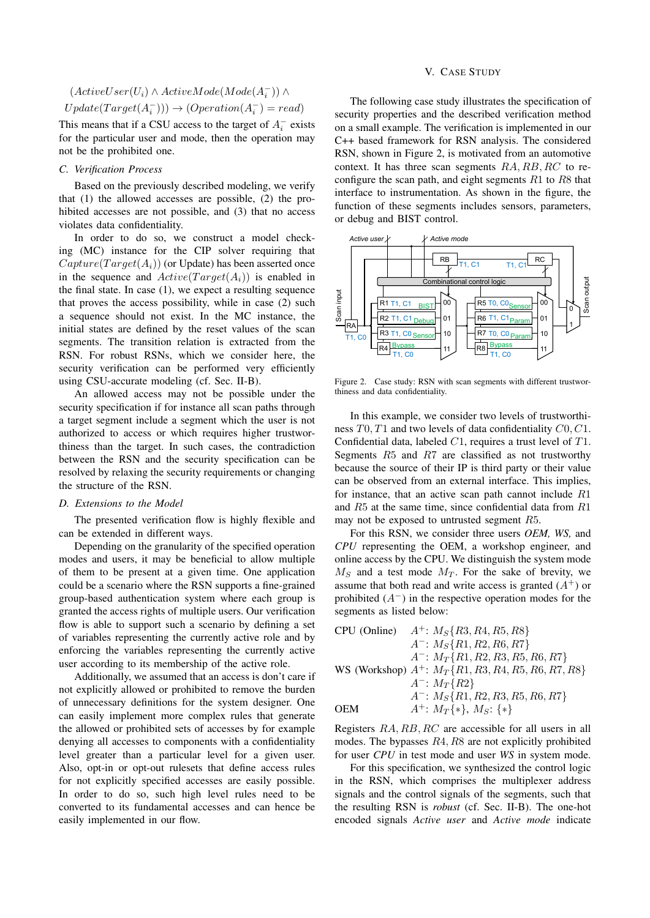$(ActiveUser(U_i) \wedge ActiveMode(Mode(A_i^{-})) \wedge$  $Update(Target(A_i^-))) \rightarrow (Operation(A_i^-) = read)$ 

This means that if a CSU access to the target of  $A_i^-$  exists for the particular user and mode, then the operation may not be the prohibited one.

#### *C. Verification Process*

Based on the previously described modeling, we verify that (1) the allowed accesses are possible, (2) the prohibited accesses are not possible, and (3) that no access violates data confidentiality.

In order to do so, we construct a model checking (MC) instance for the CIP solver requiring that  $Capture(Target(A<sub>i</sub>))$  (or Update) has been asserted once in the sequence and  $Active(Target(A<sub>i</sub>))$  is enabled in the final state. In case (1), we expect a resulting sequence that proves the access possibility, while in case (2) such a sequence should not exist. In the MC instance, the initial states are defined by the reset values of the scan segments. The transition relation is extracted from the RSN. For robust RSNs, which we consider here, the security verification can be performed very efficiently using CSU-accurate modeling (cf. Sec. II-B).

An allowed access may not be possible under the security specification if for instance all scan paths through a target segment include a segment which the user is not authorized to access or which requires higher trustworthiness than the target. In such cases, the contradiction between the RSN and the security specification can be resolved by relaxing the security requirements or changing the structure of the RSN.

#### *D. Extensions to the Model*

The presented verification flow is highly flexible and can be extended in different ways.

Depending on the granularity of the specified operation modes and users, it may be beneficial to allow multiple of them to be present at a given time. One application could be a scenario where the RSN supports a fine-grained group-based authentication system where each group is granted the access rights of multiple users. Our verification flow is able to support such a scenario by defining a set of variables representing the currently active role and by enforcing the variables representing the currently active user according to its membership of the active role.

Additionally, we assumed that an access is don't care if not explicitly allowed or prohibited to remove the burden of unnecessary definitions for the system designer. One can easily implement more complex rules that generate the allowed or prohibited sets of accesses by for example denying all accesses to components with a confidentiality level greater than a particular level for a given user. Also, opt-in or opt-out rulesets that define access rules for not explicitly specified accesses are easily possible. In order to do so, such high level rules need to be converted to its fundamental accesses and can hence be easily implemented in our flow.

#### V. CASE STUDY

The following case study illustrates the specification of security properties and the described verification method on a small example. The verification is implemented in our C++ based framework for RSN analysis. The considered RSN, shown in Figure 2, is motivated from an automotive context. It has three scan segments  $RA, RB, RC$  to reconfigure the scan path, and eight segments  $R1$  to  $R8$  that interface to instrumentation. As shown in the figure, the function of these segments includes sensors, parameters, or debug and BIST control.



Figure 2. Case study: RSN with scan segments with different trustworthiness and data confidentiality.

In this example, we consider two levels of trustworthiness T0, T1 and two levels of data confidentiality C0, C1. Confidential data, labeled  $C1$ , requires a trust level of  $T1$ . Segments R5 and R7 are classified as not trustworthy because the source of their IP is third party or their value can be observed from an external interface. This implies, for instance, that an active scan path cannot include R1 and R5 at the same time, since confidential data from R1 may not be exposed to untrusted segment R5.

For this RSN, we consider three users *OEM, WS,* and *CPU* representing the OEM, a workshop engineer, and online access by the CPU. We distinguish the system mode  $M<sub>S</sub>$  and a test mode  $M<sub>T</sub>$ . For the sake of brevity, we assume that both read and write access is granted  $(A^+)$  or prohibited  $(A^-)$  in the respective operation modes for the segments as listed below:

| CPU (Online) | $A^+$ : $M_S$ {R3, R4, R5, R8}                           |
|--------------|----------------------------------------------------------|
|              | $A^-$ : $M_S\{R1, R2, R6, R7\}$                          |
|              | $A^-$ : $M_T$ {R1, R2, R3, R5, R6, R7}                   |
|              | WS (Workshop) $A^+$ : $M_T$ {R1, R3, R4, R5, R6, R7, R8} |
|              | $A^-$ : $M_T$ {R2}                                       |
|              | $A^-$ : $M_S\{R1, R2, R3, R5, R6, R7\}$                  |
| <b>OEM</b>   | $A^+$ : $M_T\{*\}$ , $M_S$ : $\{*\}$                     |

Registers RA, RB, RC are accessible for all users in all modes. The bypasses R4, R8 are not explicitly prohibited for user *CPU* in test mode and user *WS* in system mode.

For this specification, we synthesized the control logic in the RSN, which comprises the multiplexer address signals and the control signals of the segments, such that the resulting RSN is *robust* (cf. Sec. II-B). The one-hot encoded signals *Active user* and *Active mode* indicate